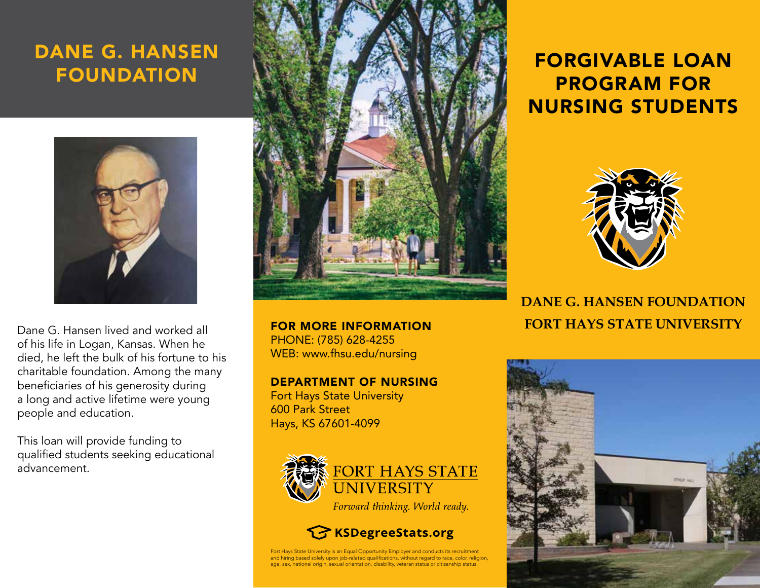## DANE G. HANSEN FOUNDATION



Dane G. Hansen lived and worked all of his life in Logan, Kansas. When he died, he left the bulk of his fortune to his charitable foundation. Among the many beneficiaries of his generosity during a long and active lifetime were young people and education.

This loan will provide funding to qualified students seeking educational advancement.



PHONE: (785) 628-4255 WEB: www.fhsu.edu/nursing

DEPARTMENT OF NURSING

Fort Hays State University 600 Park Street Hays, KS 67601-4099



Forward thinking. World ready.

**KSDegreeStats.org** 

Fort Hays State University is an Equal Opportunity Employer and conducts its recruitment and hiring based solely upon job-related qualifications, without regard to race, color, religion, age, sex, national origin, sexual orientation, disability, veteran status or citizenship status.

# FORGIVABLE LOAN PROGRAM FOR NURSING STUDENTS



**DANE G. HANSEN FOUNDATION**  FOR MORE INFORMATION **FORT HAYS STATE UNIVERSITY**